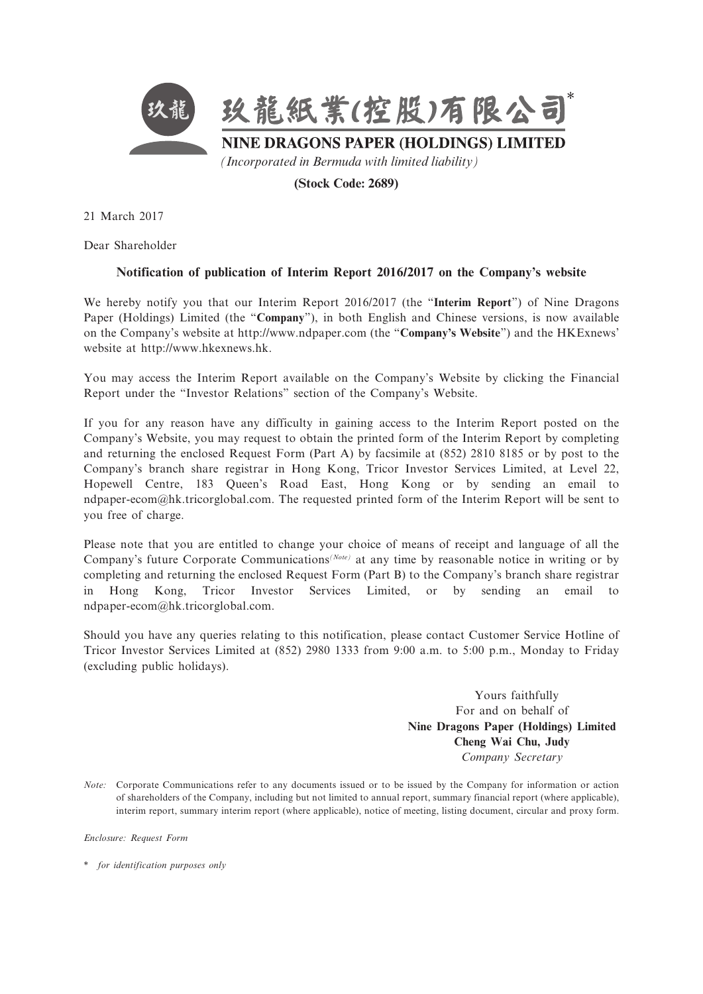

**(Stock Code: 2689)**

21 March 2017

Dear Shareholder

## **Notification of publication of Interim Report 2016/2017 on the Company's website**

We hereby notify you that our Interim Report 2016/2017 (the "**Interim Report**") of Nine Dragons Paper (Holdings) Limited (the "**Company**"), in both English and Chinese versions, is now available on the Company's website at http://www.ndpaper.com (the "**Company's Website**") and the HKExnews' website at http://www.hkexnews.hk.

You may access the Interim Report available on the Company's Website by clicking the Financial Report under the "Investor Relations" section of the Company's Website.

If you for any reason have any difficulty in gaining access to the Interim Report posted on the Company's Website, you may request to obtain the printed form of the Interim Report by completing and returning the enclosed Request Form (Part A) by facsimile at (852) 2810 8185 or by post to the Company's branch share registrar in Hong Kong, Tricor Investor Services Limited, at Level 22, Hopewell Centre, 183 Queen's Road East, Hong Kong or by sending an email to ndpaper-ecom@hk.tricorglobal.com. The requested printed form of the Interim Report will be sent to you free of charge.

Please note that you are entitled to change your choice of means of receipt and language of all the Company's future Corporate Communications*(Note)* at any time by reasonable notice in writing or by completing and returning the enclosed Request Form (Part B) to the Company's branch share registrar in Hong Kong, Tricor Investor Services Limited, or by sending an email to ndpaper-ecom@hk.tricorglobal.com.

Should you have any queries relating to this notification, please contact Customer Service Hotline of Tricor Investor Services Limited at (852) 2980 1333 from 9:00 a.m. to 5:00 p.m., Monday to Friday (excluding public holidays).

> Yours faithfully For and on behalf of **Nine Dragons Paper (Holdings) Limited Cheng Wai Chu, Judy** *Company Secretary*

*Enclosure: Request Form*

\* *for identification purposes only*

*Note:* Corporate Communications refer to any documents issued or to be issued by the Company for information or action of shareholders of the Company, including but not limited to annual report, summary financial report (where applicable), interim report, summary interim report (where applicable), notice of meeting, listing document, circular and proxy form.